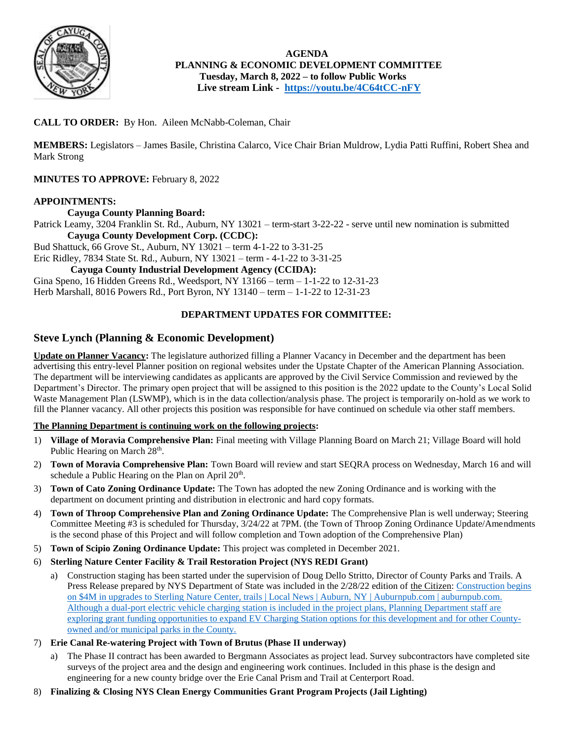

 **AGENDA PLANNING & ECONOMIC DEVELOPMENT COMMITTEE Tuesday, March 8, 2022 – to follow Public Works Live stream Link - <https://youtu.be/4C64tCC-nFY>**

#### **CALL TO ORDER:** By Hon. Aileen McNabb-Coleman, Chair

**MEMBERS:** Legislators – James Basile, Christina Calarco, Vice Chair Brian Muldrow, Lydia Patti Ruffini, Robert Shea and Mark Strong

**MINUTES TO APPROVE:** February 8, 2022

#### **APPOINTMENTS:**

#### **Cayuga County Planning Board:**

Patrick Leamy, 3204 Franklin St. Rd., Auburn, NY 13021 – term-start 3-22-22 - serve until new nomination is submitted **Cayuga County Development Corp. (CCDC):**

Bud Shattuck, 66 Grove St., Auburn, NY 13021 – term 4-1-22 to 3-31-25

Eric Ridley, 7834 State St. Rd., Auburn, NY 13021 – term - 4-1-22 to 3-31-25

#### **Cayuga County Industrial Development Agency (CCIDA):**

Gina Speno, 16 Hidden Greens Rd., Weedsport, NY 13166 – term – 1-1-22 to 12-31-23 Herb Marshall, 8016 Powers Rd., Port Byron, NY 13140 – term – 1-1-22 to 12-31-23

#### **DEPARTMENT UPDATES FOR COMMITTEE:**

#### **Steve Lynch (Planning & Economic Development)**

**Update on Planner Vacancy:** The legislature authorized filling a Planner Vacancy in December and the department has been advertising this entry-level Planner position on regional websites under the Upstate Chapter of the American Planning Association. The department will be interviewing candidates as applicants are approved by the Civil Service Commission and reviewed by the Department's Director. The primary open project that will be assigned to this position is the 2022 update to the County's Local Solid Waste Management Plan (LSWMP), which is in the data collection/analysis phase. The project is temporarily on-hold as we work to fill the Planner vacancy. All other projects this position was responsible for have continued on schedule via other staff members.

#### **The Planning Department is continuing work on the following projects:**

- 1) **Village of Moravia Comprehensive Plan:** Final meeting with Village Planning Board on March 21; Village Board will hold Public Hearing on March 28<sup>th</sup>.
- 2) **Town of Moravia Comprehensive Plan:** Town Board will review and start SEQRA process on Wednesday, March 16 and will schedule a Public Hearing on the Plan on April  $20<sup>th</sup>$ .
- 3) **Town of Cato Zoning Ordinance Update:** The Town has adopted the new Zoning Ordinance and is working with the department on document printing and distribution in electronic and hard copy formats.
- 4) **Town of Throop Comprehensive Plan and Zoning Ordinance Update:** The Comprehensive Plan is well underway; Steering Committee Meeting #3 is scheduled for Thursday, 3/24/22 at 7PM. (the Town of Throop Zoning Ordinance Update/Amendments is the second phase of this Project and will follow completion and Town adoption of the Comprehensive Plan)
- 5) **Town of Scipio Zoning Ordinance Update:** This project was completed in December 2021.
- 6) **Sterling Nature Center Facility & Trail Restoration Project (NYS REDI Grant)**
	- a) Construction staging has been started under the supervision of Doug Dello Stritto, Director of County Parks and Trails. A Press Release prepared by NYS Department of State was included in the 2/28/22 edition of the Citizen: Construction begins [on \\$4M in upgrades to Sterling Nature Center, trails | Local News | Auburn, NY | Auburnpub.com | auburnpub.com.](https://auburnpub.com/news/local/construction-begins-on-4m-in-upgrades-to-sterling-nature-center-trails/article_2fe45b1c-732d-50b2-88a7-0e29ef0ee1e8.html)  Although a dual-port electric vehicle charging station is included in the project plans, Planning Department staff are exploring grant funding opportunities to expand EV Charging Station options for this development and for other Countyowned and/or municipal parks in the County.
- 7) **Erie Canal Re-watering Project with Town of Brutus (Phase II underway)**
	- a) The Phase II contract has been awarded to Bergmann Associates as project lead. Survey subcontractors have completed site surveys of the project area and the design and engineering work continues. Included in this phase is the design and engineering for a new county bridge over the Erie Canal Prism and Trail at Centerport Road.
- 8) **Finalizing & Closing NYS Clean Energy Communities Grant Program Projects (Jail Lighting)**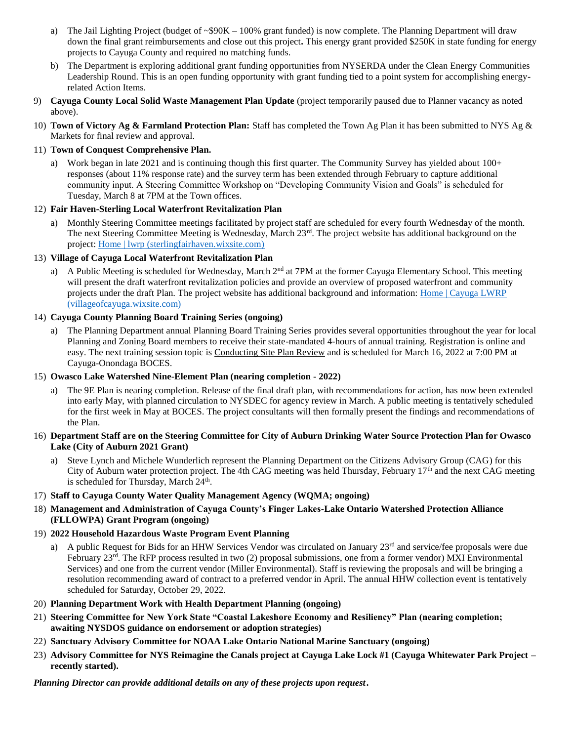- a) The Jail Lighting Project (budget of ~\$90K 100% grant funded) is now complete. The Planning Department will draw down the final grant reimbursements and close out this project**.** This energy grant provided \$250K in state funding for energy projects to Cayuga County and required no matching funds.
- b) The Department is exploring additional grant funding opportunities from NYSERDA under the Clean Energy Communities Leadership Round. This is an open funding opportunity with grant funding tied to a point system for accomplishing energyrelated Action Items.
- 9) **Cayuga County Local Solid Waste Management Plan Update** (project temporarily paused due to Planner vacancy as noted above).
- 10) **Town of Victory Ag & Farmland Protection Plan:** Staff has completed the Town Ag Plan it has been submitted to NYS Ag & Markets for final review and approval.

#### 11) **Town of Conquest Comprehensive Plan.**

a) Work began in late 2021 and is continuing though this first quarter. The Community Survey has yielded about 100+ responses (about 11% response rate) and the survey term has been extended through February to capture additional community input. A Steering Committee Workshop on "Developing Community Vision and Goals" is scheduled for Tuesday, March 8 at 7PM at the Town offices.

#### 12) **Fair Haven-Sterling Local Waterfront Revitalization Plan**

a) Monthly Steering Committee meetings facilitated by project staff are scheduled for every fourth Wednesday of the month. The next Steering Committee Meeting is Wednesday, March 23<sup>rd</sup>. The project website has additional background on the project: [Home | lwrp \(sterlingfairhaven.wixsite.com\)](https://sterlingfairhaven.wixsite.com/lwrp)

#### 13) **Village of Cayuga Local Waterfront Revitalization Plan**

A Public Meeting is scheduled for Wednesday, March  $2<sup>nd</sup>$  at 7PM at the former Cayuga Elementary School. This meeting will present the draft waterfront revitalization policies and provide an overview of proposed waterfront and community projects under the draft Plan. The project website has additional background and information: Home | Cayuga LWRP [\(villageofcayuga.wixsite.com\)](https://villageofcayuga.wixsite.com/lwrp)

#### 14) **Cayuga County Planning Board Training Series (ongoing)**

a) The Planning Department annual Planning Board Training Series provides several opportunities throughout the year for local Planning and Zoning Board members to receive their state-mandated 4-hours of annual training. Registration is online and easy. The next training session topic is Conducting Site Plan Review and is scheduled for March 16, 2022 at 7:00 PM at Cayuga-Onondaga BOCES.

#### 15) **Owasco Lake Watershed Nine-Element Plan (nearing completion - 2022)**

- a) The 9E Plan is nearing completion. Release of the final draft plan, with recommendations for action, has now been extended into early May, with planned circulation to NYSDEC for agency review in March. A public meeting is tentatively scheduled for the first week in May at BOCES. The project consultants will then formally present the findings and recommendations of the Plan.
- 16) **Department Staff are on the Steering Committee for City of Auburn Drinking Water Source Protection Plan for Owasco Lake (City of Auburn 2021 Grant)**
	- a) Steve Lynch and Michele Wunderlich represent the Planning Department on the Citizens Advisory Group (CAG) for this City of Auburn water protection project. The 4th CAG meeting was held Thursday, February  $17<sup>th</sup>$  and the next CAG meeting is scheduled for Thursday, March 24<sup>th</sup>.

#### 17) **Staff to Cayuga County Water Quality Management Agency (WQMA; ongoing)**

18) **Management and Administration of Cayuga County's Finger Lakes-Lake Ontario Watershed Protection Alliance (FLLOWPA) Grant Program (ongoing)**

#### 19) **2022 Household Hazardous Waste Program Event Planning**

- a) A public Request for Bids for an HHW Services Vendor was circulated on January  $23<sup>rd</sup>$  and service/fee proposals were due February 23<sup>rd</sup>. The RFP process resulted in two (2) proposal submissions, one from a former vendor) MXI Environmental Services) and one from the current vendor (Miller Environmental). Staff is reviewing the proposals and will be bringing a resolution recommending award of contract to a preferred vendor in April. The annual HHW collection event is tentatively scheduled for Saturday, October 29, 2022.
- 20) **Planning Department Work with Health Department Planning (ongoing)**
- 21) **Steering Committee for New York State "Coastal Lakeshore Economy and Resiliency" Plan (nearing completion; awaiting NYSDOS guidance on endorsement or adoption strategies)**
- 22) **Sanctuary Advisory Committee for NOAA Lake Ontario National Marine Sanctuary (ongoing)**
- 23) **Advisory Committee for NYS Reimagine the Canals project at Cayuga Lake Lock #1 (Cayuga Whitewater Park Project – recently started).**

*Planning Director can provide additional details on any of these projects upon request.*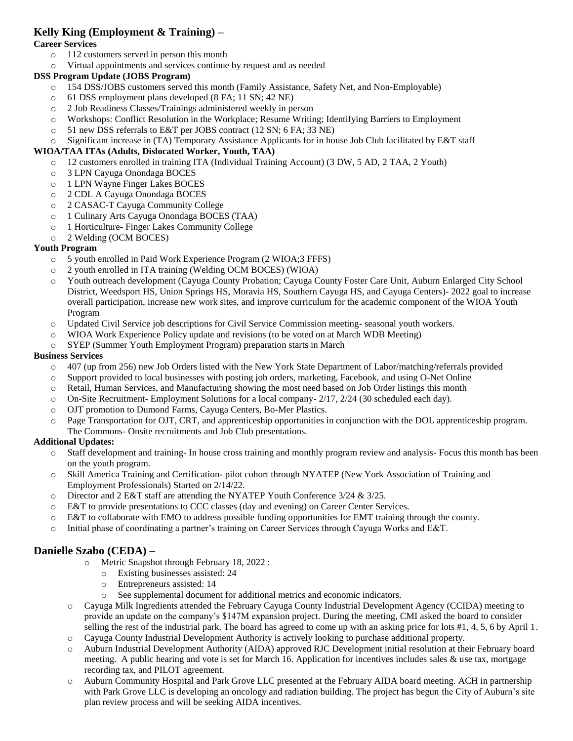### **Kelly King (Employment & Training) –**

#### **Career Services**

- o 112 customers served in person this month
- o Virtual appointments and services continue by request and as needed

#### **DSS Program Update (JOBS Program)**

- o 154 DSS/JOBS customers served this month (Family Assistance, Safety Net, and Non-Employable)
- o 61 DSS employment plans developed (8 FA; 11 SN; 42 NE)
- o 2 Job Readiness Classes/Trainings administered weekly in person
- o Workshops: Conflict Resolution in the Workplace; Resume Writing; Identifying Barriers to Employment
- o 51 new DSS referrals to E&T per JOBS contract (12 SN; 6 FA; 33 NE)
- o Significant increase in (TA) Temporary Assistance Applicants for in house Job Club facilitated by E&T staff

#### **WIOA/TAA ITAs (Adults, Dislocated Worker, Youth, TAA)**

- o 12 customers enrolled in training ITA (Individual Training Account) (3 DW, 5 AD, 2 TAA, 2 Youth)
- o 3 LPN Cayuga Onondaga BOCES
- o 1 LPN Wayne Finger Lakes BOCES
- o 2 CDL A Cayuga Onondaga BOCES
- o 2 CASAC-T Cayuga Community College
- o 1 Culinary Arts Cayuga Onondaga BOCES (TAA)
- o 1 Horticulture- Finger Lakes Community College
- o 2 Welding (OCM BOCES)

#### **Youth Program**

- o 5 youth enrolled in Paid Work Experience Program (2 WIOA;3 FFFS)
- o 2 youth enrolled in ITA training (Welding OCM BOCES) (WIOA)
- o Youth outreach development (Cayuga County Probation; Cayuga County Foster Care Unit, Auburn Enlarged City School District, Weedsport HS, Union Springs HS, Moravia HS, Southern Cayuga HS, and Cayuga Centers)- 2022 goal to increase overall participation, increase new work sites, and improve curriculum for the academic component of the WIOA Youth Program
- o Updated Civil Service job descriptions for Civil Service Commission meeting- seasonal youth workers.
- o WIOA Work Experience Policy update and revisions (to be voted on at March WDB Meeting)
- o SYEP (Summer Youth Employment Program) preparation starts in March

#### **Business Services**

- o 407 (up from 256) new Job Orders listed with the New York State Department of Labor/matching/referrals provided
- o Support provided to local businesses with posting job orders, marketing, Facebook, and using O-Net Online
- o Retail, Human Services, and Manufacturing showing the most need based on Job Order listings this month
- o On-Site Recruitment- Employment Solutions for a local company- 2/17, 2/24 (30 scheduled each day).
- o OJT promotion to Dumond Farms, Cayuga Centers, Bo-Mer Plastics.
- o Page Transportation for OJT, CRT, and apprenticeship opportunities in conjunction with the DOL apprenticeship program. The Commons- Onsite recruitments and Job Club presentations.

#### **Additional Updates:**

- o Staff development and training- In house cross training and monthly program review and analysis- Focus this month has been on the youth program.
- o Skill America Training and Certification**-** pilot cohort through NYATEP (New York Association of Training and Employment Professionals) Started on 2/14/22.
- o Director and 2 E&T staff are attending the NYATEP Youth Conference 3/24 & 3/25.
- o E&T to provide presentations to CCC classes (day and evening) on Career Center Services.
- o E&T to collaborate with EMO to address possible funding opportunities for EMT training through the county.
- Initial phase of coordinating a partner's training on Career Services through Cayuga Works and E&T.

### **Danielle Szabo (CEDA) –**

- o Metric Snapshot through February 18, 2022 :
	- o Existing businesses assisted: 24
	- o Entrepreneurs assisted: 14
	- o See supplemental document for additional metrics and economic indicators.
- o Cayuga Milk Ingredients attended the February Cayuga County Industrial Development Agency (CCIDA) meeting to provide an update on the company's \$147M expansion project. During the meeting, CMI asked the board to consider selling the rest of the industrial park. The board has agreed to come up with an asking price for lots #1, 4, 5, 6 by April 1.
- o Cayuga County Industrial Development Authority is actively looking to purchase additional property.
- o Auburn Industrial Development Authority (AIDA) approved RJC Development initial resolution at their February board meeting. A public hearing and vote is set for March 16. Application for incentives includes sales & use tax, mortgage recording tax, and PILOT agreement.
- o Auburn Community Hospital and Park Grove LLC presented at the February AIDA board meeting. ACH in partnership with Park Grove LLC is developing an oncology and radiation building. The project has begun the City of Auburn's site plan review process and will be seeking AIDA incentives.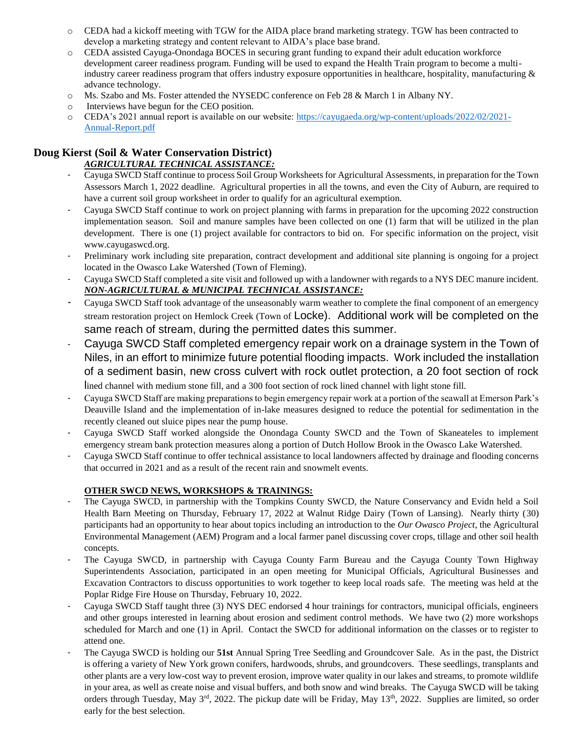- o CEDA had a kickoff meeting with TGW for the AIDA place brand marketing strategy. TGW has been contracted to develop a marketing strategy and content relevant to AIDA's place base brand.
- o CEDA assisted Cayuga-Onondaga BOCES in securing grant funding to expand their adult education workforce development career readiness program. Funding will be used to expand the Health Train program to become a multiindustry career readiness program that offers industry exposure opportunities in healthcare, hospitality, manufacturing  $\&$ advance technology.
- o Ms. Szabo and Ms. Foster attended the NYSEDC conference on Feb 28 & March 1 in Albany NY.
- o Interviews have begun for the CEO position.
- o CEDA's 2021 annual report is available on our website: [https://cayugaeda.org/wp-content/uploads/2022/02/2021-](https://cayugaeda.org/wp-content/uploads/2022/02/2021-Annual-Report.pdf) [Annual-Report.pdf](https://cayugaeda.org/wp-content/uploads/2022/02/2021-Annual-Report.pdf)

## **Doug Kierst (Soil & Water Conservation District)**

### *AGRICULTURAL TECHNICAL ASSISTANCE:*

- Cayuga SWCD Staff continue to process Soil Group Worksheets for Agricultural Assessments, in preparation for the Town Assessors March 1, 2022 deadline. Agricultural properties in all the towns, and even the City of Auburn, are required to have a current soil group worksheet in order to qualify for an agricultural exemption.
- Cayuga SWCD Staff continue to work on project planning with farms in preparation for the upcoming 2022 construction implementation season. Soil and manure samples have been collected on one (1) farm that will be utilized in the plan development. There is one (1) project available for contractors to bid on. For specific information on the project, visit www.cayugaswcd.org.
- Preliminary work including site preparation, contract development and additional site planning is ongoing for a project located in the Owasco Lake Watershed (Town of Fleming).
- Cayuga SWCD Staff completed a site visit and followed up with a landowner with regards to a NYS DEC manure incident. *NON-AGRICULTURAL & MUNICIPAL TECHNICAL ASSISTANCE:*
- Cayuga SWCD Staff took advantage of the unseasonably warm weather to complete the final component of an emergency stream restoration project on Hemlock Creek (Town of Locke). Additional work will be completed on the same reach of stream, during the permitted dates this summer.
- Cayuga SWCD Staff completed emergency repair work on a drainage system in the Town of Niles, in an effort to minimize future potential flooding impacts. Work included the installation of a sediment basin, new cross culvert with rock outlet protection, a 20 foot section of rock lined channel with medium stone fill, and a 300 foot section of rock lined channel with light stone fill.
- Cayuga SWCD Staff are making preparations to begin emergency repair work at a portion of the seawall at Emerson Park's Deauville Island and the implementation of in-lake measures designed to reduce the potential for sedimentation in the recently cleaned out sluice pipes near the pump house.
- Cayuga SWCD Staff worked alongside the Onondaga County SWCD and the Town of Skaneateles to implement emergency stream bank protection measures along a portion of Dutch Hollow Brook in the Owasco Lake Watershed.
- Cayuga SWCD Staff continue to offer technical assistance to local landowners affected by drainage and flooding concerns that occurred in 2021 and as a result of the recent rain and snowmelt events.

### **OTHER SWCD NEWS, WORKSHOPS & TRAININGS:**

- The Cayuga SWCD, in partnership with the Tompkins County SWCD, the Nature Conservancy and Evidn held a Soil Health Barn Meeting on Thursday, February 17, 2022 at Walnut Ridge Dairy (Town of Lansing). Nearly thirty (30) participants had an opportunity to hear about topics including an introduction to the *Our Owasco Project*, the Agricultural Environmental Management (AEM) Program and a local farmer panel discussing cover crops, tillage and other soil health concepts.
- The Cayuga SWCD, in partnership with Cayuga County Farm Bureau and the Cayuga County Town Highway Superintendents Association, participated in an open meeting for Municipal Officials, Agricultural Businesses and Excavation Contractors to discuss opportunities to work together to keep local roads safe. The meeting was held at the Poplar Ridge Fire House on Thursday, February 10, 2022.
- Cayuga SWCD Staff taught three (3) NYS DEC endorsed 4 hour trainings for contractors, municipal officials, engineers and other groups interested in learning about erosion and sediment control methods. We have two (2) more workshops scheduled for March and one (1) in April. Contact the SWCD for additional information on the classes or to register to attend one.
- The Cayuga SWCD is holding our **51st** Annual Spring Tree Seedling and Groundcover Sale. As in the past, the District is offering a variety of New York grown conifers, hardwoods, shrubs, and groundcovers. These seedlings, transplants and other plants are a very low-cost way to prevent erosion, improve water quality in our lakes and streams, to promote wildlife in your area, as well as create noise and visual buffers, and both snow and wind breaks. The Cayuga SWCD will be taking orders through Tuesday, May  $3^{rd}$ , 2022. The pickup date will be Friday, May  $13^{th}$ , 2022. Supplies are limited, so order early for the best selection.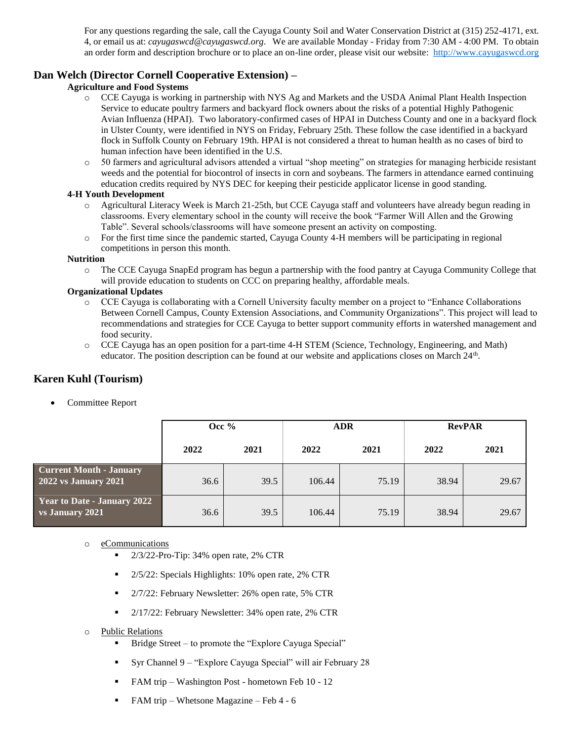For any questions regarding the sale, call the Cayuga County Soil and Water Conservation District at (315) 252-4171, ext. 4, or email us at: *cayugaswcd@cayugaswcd.org*. We are available Monday - Friday from 7:30 AM - 4:00 PM. To obtain an order form and description brochure or to place an on-line order, please visit our website: [http://www.cayugaswcd.org](http://www.cayugaswcd.org/)

#### **Dan Welch (Director Cornell Cooperative Extension) –**

#### **Agriculture and Food Systems**

- o CCE Cayuga is working in partnership with NYS Ag and Markets and the USDA Animal Plant Health Inspection Service to educate poultry farmers and backyard flock owners about the risks of a potential Highly Pathogenic Avian Influenza (HPAI). Two laboratory-confirmed cases of HPAI in Dutchess County and one in a backyard flock in Ulster County, were identified in NYS on Friday, February 25th. These follow the case identified in a backyard flock in Suffolk County on February 19th. HPAI is not considered a threat to human health as no cases of bird to human infection have been identified in the U.S.
- o 50 farmers and agricultural advisors attended a virtual "shop meeting" on strategies for managing herbicide resistant weeds and the potential for biocontrol of insects in corn and soybeans. The farmers in attendance earned continuing education credits required by NYS DEC for keeping their pesticide applicator license in good standing.

#### **4-H Youth Development**

- o Agricultural Literacy Week is March 21-25th, but CCE Cayuga staff and volunteers have already begun reading in classrooms. Every elementary school in the county will receive the book "Farmer Will Allen and the Growing Table". Several schools/classrooms will have someone present an activity on composting.
- o For the first time since the pandemic started, Cayuga County 4-H members will be participating in regional competitions in person this month.

#### **Nutrition**

o The CCE Cayuga SnapEd program has begun a partnership with the food pantry at Cayuga Community College that will provide education to students on CCC on preparing healthy, affordable meals.

#### **Organizational Updates**

- o CCE Cayuga is collaborating with a Cornell University faculty member on a project to "Enhance Collaborations Between Cornell Campus, County Extension Associations, and Community Organizations". This project will lead to recommendations and strategies for CCE Cayuga to better support community efforts in watershed management and food security.
- o CCE Cayuga has an open position for a part-time 4-H STEM (Science, Technology, Engineering, and Math) educator. The position description can be found at our website and applications closes on March 24<sup>th</sup>.

### **Karen Kuhl (Tourism)**

Committee Report

|                                                        | Occ $%$ |      |        | <b>ADR</b> | <b>RevPAR</b> |       |  |
|--------------------------------------------------------|---------|------|--------|------------|---------------|-------|--|
|                                                        | 2022    | 2021 | 2022   | 2021       | 2022          | 2021  |  |
| <b>Current Month - January</b><br>2022 vs January 2021 | 36.6    | 39.5 | 106.44 | 75.19      | 38.94         | 29.67 |  |
| Year to Date - January 2022<br>vs January 2021         | 36.6    | 39.5 | 106.44 | 75.19      | 38.94         | 29.67 |  |

#### o eCommunications

- 2/3/22-Pro-Tip: 34% open rate, 2% CTR
- 2/5/22: Specials Highlights: 10% open rate, 2% CTR
- 2/7/22: February Newsletter: 26% open rate, 5% CTR
- 2/17/22: February Newsletter: 34% open rate, 2% CTR

#### o Public Relations

- Bridge Street to promote the "Explore Cayuga Special"
- Syr Channel 9 "Explore Cayuga Special" will air February 28
- FAM trip Washington Post hometown Feb 10 12
- $\blacksquare$  FAM trip Whetsone Magazine Feb 4 6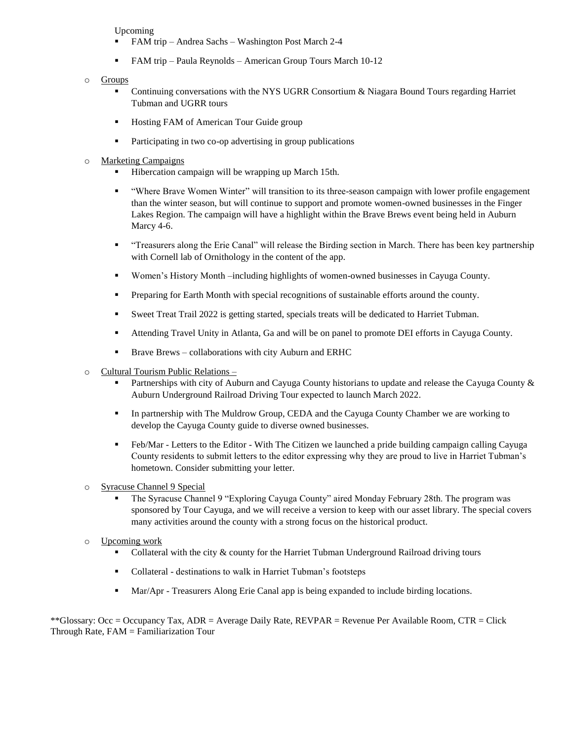Upcoming

- FAM trip Andrea Sachs Washington Post March 2-4
- FAM trip Paula Reynolds American Group Tours March 10-12
- o Groups
	- Continuing conversations with the NYS UGRR Consortium  $\&$  Niagara Bound Tours regarding Harriet Tubman and UGRR tours
	- **EXECUTE:** Hosting FAM of American Tour Guide group
	- Participating in two co-op advertising in group publications
- o Marketing Campaigns
	- Hibercation campaign will be wrapping up March 15th.
	- "Where Brave Women Winter" will transition to its three-season campaign with lower profile engagement than the winter season, but will continue to support and promote women-owned businesses in the Finger Lakes Region. The campaign will have a highlight within the Brave Brews event being held in Auburn Marcy 4-6.
	- "Treasurers along the Erie Canal" will release the Birding section in March. There has been key partnership with Cornell lab of Ornithology in the content of the app.
	- Women's History Month –including highlights of women-owned businesses in Cayuga County.
	- **•** Preparing for Earth Month with special recognitions of sustainable efforts around the county.
	- Sweet Treat Trail 2022 is getting started, specials treats will be dedicated to Harriet Tubman.
	- **•** Attending Travel Unity in Atlanta, Ga and will be on panel to promote DEI efforts in Cayuga County.
	- Brave Brews collaborations with city Auburn and ERHC
- o Cultural Tourism Public Relations
	- Partnerships with city of Auburn and Cayuga County historians to update and release the Cayuga County & Auburn Underground Railroad Driving Tour expected to launch March 2022.
	- **•** In partnership with The Muldrow Group, CEDA and the Cayuga County Chamber we are working to develop the Cayuga County guide to diverse owned businesses.
	- Feb/Mar Letters to the Editor With The Citizen we launched a pride building campaign calling Cayuga County residents to submit letters to the editor expressing why they are proud to live in Harriet Tubman's hometown. Consider submitting your letter.
- o Syracuse Channel 9 Special
	- The Syracuse Channel 9 "Exploring Cayuga County" aired Monday February 28th. The program was sponsored by Tour Cayuga, and we will receive a version to keep with our asset library. The special covers many activities around the county with a strong focus on the historical product.
- o Upcoming work
	- Collateral with the city  $\&$  county for the Harriet Tubman Underground Railroad driving tours
	- Collateral destinations to walk in Harriet Tubman's footsteps
	- Mar/Apr Treasurers Along Erie Canal app is being expanded to include birding locations.

\*\*Glossary: Occ = Occupancy Tax, ADR = Average Daily Rate, REVPAR = Revenue Per Available Room, CTR = Click Through Rate, FAM = Familiarization Tour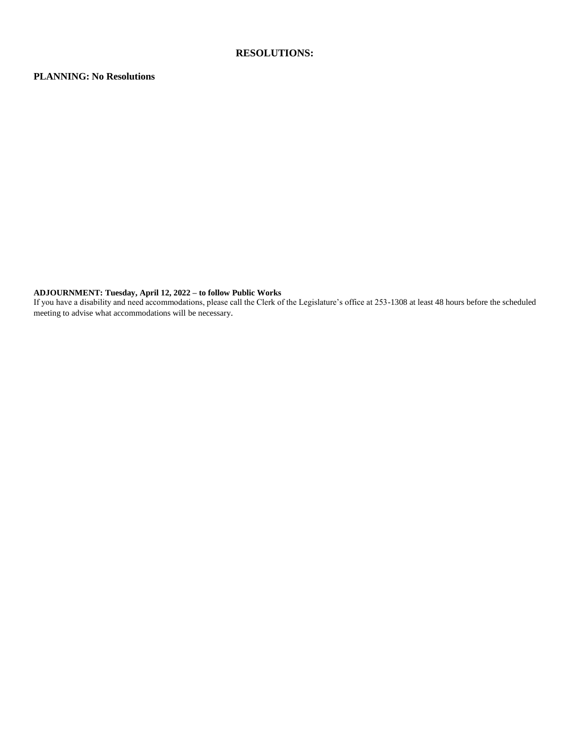#### **RESOLUTIONS:**

#### **PLANNING: No Resolutions**

#### **ADJOURNMENT: Tuesday, April 12, 2022 – to follow Public Works**

If you have a disability and need accommodations, please call the Clerk of the Legislature's office at 253-1308 at least 48 hours before the scheduled meeting to advise what accommodations will be necessary.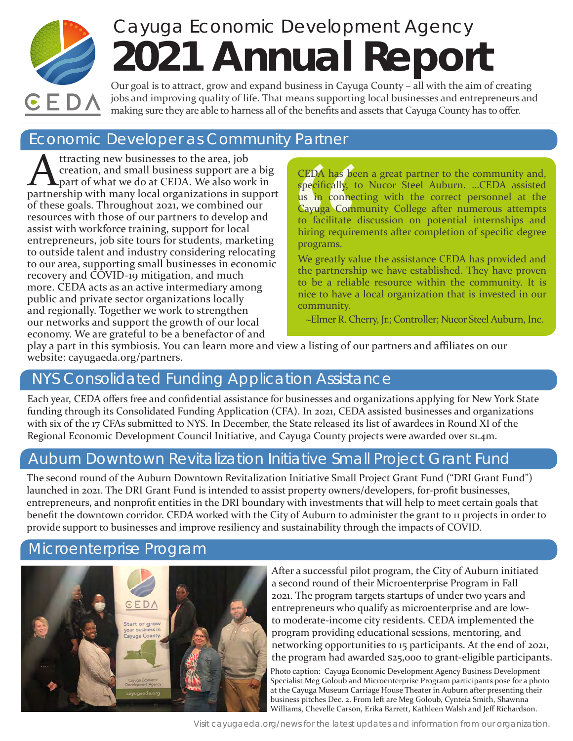# Cayuga Economic Development Agency **2021 Annual Report**



Our goal is to attract, grow and expand business in Cayuga County – all with the aim of creating jobs and improving quality of life. That means supporting local businesses and entrepreneurs and making sure they are able to harness all of the benefits and assets that Cayuga County has to offer.

# Economic Developer as Community Partner

Attracting new businesses to the area, job<br>creation, and small business support are<br>part of what we do at CEDA. We also work creation, and small business support are a big **L** part of what we do at CEDA. We also work in partnership with many local organizations in support of these goals. Throughout 2021, we combined our resources with those of our partners to develop and assist with workforce training, support for local entrepreneurs, job site tours for students, marketing to outside talent and industry considering relocating to our area, supporting small businesses in economic recovery and COVID-19 mitigation, and much more. CEDA acts as an active intermediary among public and private sector organizations locally and regionally. Together we work to strengthen our networks and support the growth of our local economy. We are grateful to be a benefactor of and

CEDA has been specifically, to<br>specifically, to<br>us in connect Cayuga Comm<br>to facilitate chiring require<br>programs.<br>We greatly value partnership to be a reliab<br>nice to have a<br>community.<br>-Elmer R. Ch CEDA has been a great partner to the community and, specifically, to Nucor Steel Auburn. …CEDA assisted us in connecting with the correct personnel at the Cayuga Community College after numerous attempts to facilitate discussion on potential internships and hiring requirements after completion of specific degree programs.

We greatly value the assistance CEDA has provided and the partnership we have established. They have proven to be a reliable resource within the community. It is nice to have a local organization that is invested in our community.

~Elmer R. Cherry, Jr.; Controller; Nucor Steel Auburn, Inc.

play a part in this symbiosis. You can learn more and view a listing of our partners and affiliates on our website: [cayugaeda.org/partners.](https://cayugaeda.org/partners)

# NYS Consolidated Funding Application Assistance

Each year, CEDA offers free and confidential assistance for businesses and organizations applying for New York State funding through its Consolidated Funding Application (CFA). In 2021, CEDA assisted businesses and organizations with six of the 17 CFAs submitted to NYS. In December, the State released its list of awardees in Round XI of the Regional Economic Development Council Initiative, and Cayuga County projects were awarded over \$1.4m.

# Auburn Downtown Revitalization Initiative Small Project Grant Fund

The second round of the Auburn Downtown Revitalization Initiative Small Project Grant Fund ("DRI Grant Fund") launched in 2021. The DRI Grant Fund is intended to assist property owners/developers, for-profit businesses, entrepreneurs, and nonprofit entities in the DRI boundary with investments that will help to meet certain goals that benefit the downtown corridor. CEDA worked with the City of Auburn to administer the grant to 11 projects in order to provide support to businesses and improve resiliency and sustainability through the impacts of COVID.

# Microenterprise Program



After a successful pilot program, the City of Auburn initiated a second round of their Microenterprise Program in Fall 2021. The program targets startups of under two years and entrepreneurs who qualify as microenterprise and are lowto moderate-income city residents. CEDA implemented the program providing educational sessions, mentoring, and networking opportunities to 15 participants. At the end of 2021, the program had awarded \$25,000 to grant-eligible participants.

Photo caption: Cayuga Economic Development Agency Business Development Specialist Meg Goloub and Microenterprise Program participants pose for a photo at the Cayuga Museum Carriage House Theater in Auburn after presenting their business pitches Dec. 2. From left are Meg Goloub, Cynteia Smith, Shawnna Williams, Chevelle Carson, Erika Barrett, Kathleen Walsh and Jeff Richardson.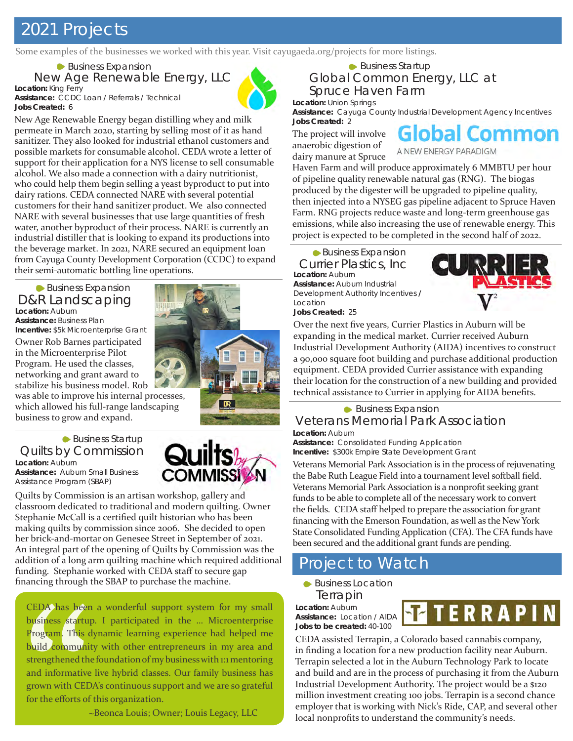# 2021 Projects

Some examples of the businesses we worked with this year. Visit [cayugaeda.org/projects](https://cayugaeda.org/projects) for more listings.

**Location:** King Ferry **Assistance:** CCDC Loan / Referrals / Technical **Jobs Created:** 6 New Age Renewable Energy, LLC Business Expansion



New Age Renewable Energy began distilling whey and milk permeate in March 2020, starting by selling most of it as hand sanitizer. They also looked for industrial ethanol customers and possible markets for consumable alcohol. CEDA wrote a letter of support for their application for a NYS license to sell consumable alcohol. We also made a connection with a dairy nutritionist, who could help them begin selling a yeast byproduct to put into dairy rations. CEDA connected NARE with several potential customers for their hand sanitizer product. We also connected NARE with several businesses that use large quantities of fresh water, another byproduct of their process. NARE is currently an industrial distiller that is looking to expand its productions into the beverage market. In 2021, NARE secured an equipment loan from Cayuga County Development Corporation (CCDC) to expand their semi-automatic bottling line operations.

#### **Location:** Auburn **Assistance:** Business Plan **Incentive:** \$5k Microenterprise Grant **Business Expansion** D&R Landscaping

Owner Rob Barnes participated in the Microenterprise Pilot Program. He used the classes, networking and grant award to stabilize his business model. Rob

was able to improve his internal processes, which allowed his full-range landscaping business to grow and expand.

#### **Location:** Auburn **Assistance:** Auburn Small Business Assistance Program (SBAP) Quilts by Commission **► Business Startup**

Quilts by Commission is an artisan workshop, gallery and classroom dedicated to traditional and modern quilting. Owner Stephanie McCall is a certified quilt historian who has been making quilts by commission since 2006. She decided to open her brick-and-mortar on Genesee Street in September of 2021. An integral part of the opening of Quilts by Commission was the addition of a long arm quilting machine which required additional funding. Stephanie worked with CEDA staff to secure gap financing through the SBAP to purchase the machine.

CEDA has been<br>business startup<br>program. This d<br>build communit<br>strengthened the<br>and informative<br>grown with CED<br>for the efforts of CEDA has been a wonderful support system for my small business startup. I participated in the ... Microenterprise Program. This dynamic learning experience had helped me build community with other entrepreneurs in my area and strengthened the foundation of my business with 1:1 mentoring and informative live hybrid classes. Our family business has grown with CEDA's continuous support and we are so grateful for the efforts of this organization.

~Beonca Louis; Owner; Louis Legacy, LLC

Global Common Energy, LLC at Spruce Haven Farm **► Business Startup** 

**Location:** Union Springs **Assistance:** Cayuga County Industrial Development Agency Incentives **Jobs Created:** 2

The project will involve anaerobic digestion of dairy manure at Spruce

**Global Common** A NEW ENERGY PARADIG

Haven Farm and will produce approximately 6 MMBTU per hour of pipeline quality renewable natural gas (RNG). The biogas produced by the digester will be upgraded to pipeline quality, then injected into a NYSEG gas pipeline adjacent to Spruce Haven Farm. RNG projects reduce waste and long-term greenhouse gas emissions, while also increasing the use of renewable energy. This project is expected to be completed in the second half of 2022.

**Location:** Auburn Currier Plastics, Inc **Business Expansion** 

**Assistance:** Auburn Industrial Development Authority Incentives **/**  Location



**Jobs Created:** 25

Over the next five years, Currier Plastics in Auburn will be expanding in the medical market. Currier received Auburn Industrial Development Authority (AIDA) incentives to construct a 90,000 square foot building and purchase additional production equipment. CEDA provided Currier assistance with expanding their location for the construction of a new building and provided technical assistance to Currier in applying for AIDA benefits.

#### **Location:** Auburn Veterans Memorial Park Association **► Business Expansion**

**Assistance:** Consolidated Funding Application **Incentive:** \$300k Empire State Development Grant

Veterans Memorial Park Association is in the process of rejuvenating the Babe Ruth League Field into a tournament level softball field. Veterans Memorial Park Association is a nonprofit seeking grant funds to be able to complete all of the necessary work to convert the fields. CEDA staff helped to prepare the association for grant financing with the Emerson Foundation, as well as the New York State Consolidated Funding Application (CFA). The CFA funds have been secured and the additional grant funds are pending.

# Project to Watch

**Business Location** Terrapin

**Location:** Auburn **Assistance:** Location / AIDA **Jobs to be created:** 40-100



CEDA assisted Terrapin, a Colorado based cannabis company, in finding a location for a new production facility near Auburn. Terrapin selected a lot in the Auburn Technology Park to locate and build and are in the process of purchasing it from the Auburn Industrial Development Authority. The project would be a \$120 million investment creating 100 jobs. Terrapin is a second chance employer that is working with Nick's Ride, CAP, and several other local nonprofits to understand the community's needs.

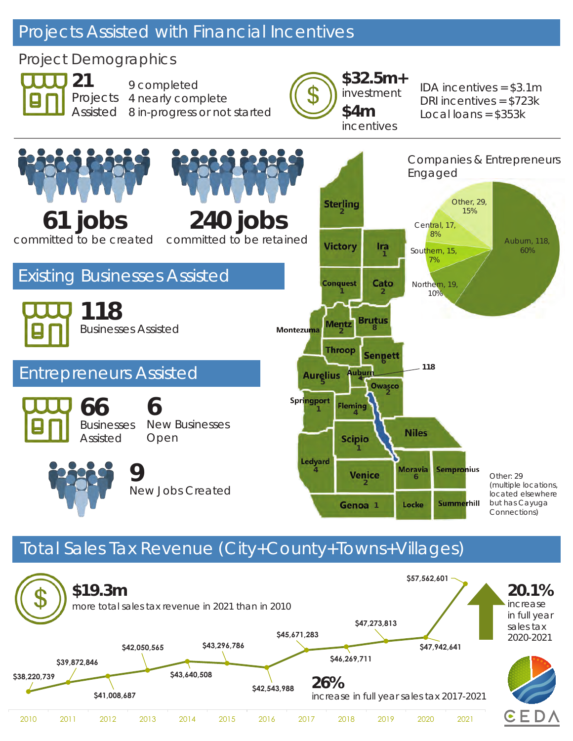# Projects Assisted with Financial Incentives

# Project Demographics



Projects Assisted 8 in-progress or not started **\$4m** 9 completed 4 nearly complete



IDA incentives = \$3.1m DRI incentives = \$723k  $Local loans = $353k$ 



# Total Sales Tax Revenue (City+County+Towns+Villages)

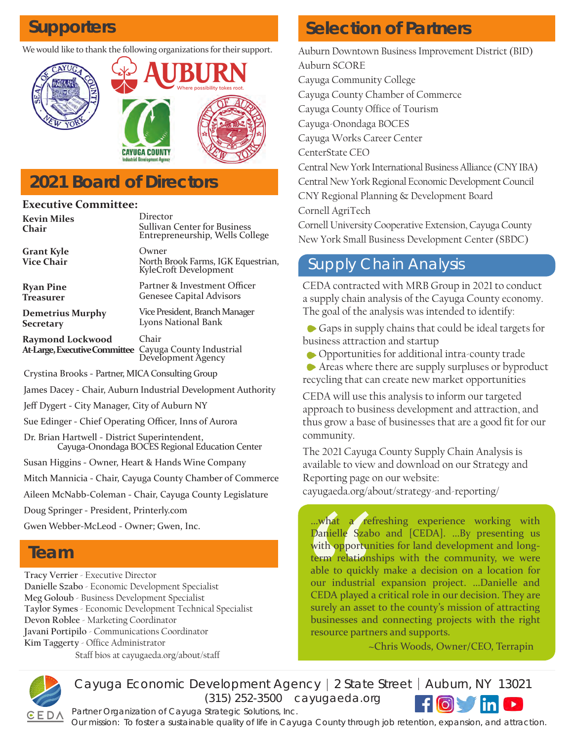We would like to thank the following organizations for their support.



# **2021 Board of Directors**

#### **Executive Committee:**

Director Sullivan Center for Business Entrepreneurship, Wells College Owner North Brook Farms, IGK Equestrian, KyleCroft Development Partner & Investment Officer Genesee Capital Advisors Vice President, Branch Manager Lyons National Bank Chair Cayuga County Industrial **Kevin Miles Chair Grant Kyle Vice Chair Ryan Pine Treasurer Demetrius Murphy Secretary Raymond Lockwood At-Large, Executive Committee**

Development Agency

Crystina Brooks - Partner, MICA Consulting Group

James Dacey - Chair, Auburn Industrial Development Authority

Jeff Dygert - City Manager, City of Auburn NY

Sue Edinger - Chief Operating Officer, Inns of Aurora

Dr. Brian Hartwell - District Superintendent, Cayuga-Onondaga BOCES Regional Education Center

Susan Higgins - Owner, Heart & Hands Wine Company

Mitch Mannicia - Chair, Cayuga County Chamber of Commerce

Aileen McNabb-Coleman - Chair, Cayuga County Legislature

Doug Springer - President, Printerly.com

Gwen Webber-McLeod - Owner; Gwen, Inc.

# **Team**

**Tracy Verrier** - Executive Director **Danielle Szabo** - Economic Development Specialist **Meg Goloub** - Business Development Specialist **Taylor Symes** - Economic Development Technical Specialist **Devon Roblee** - Marketing Coordinator **Javani Portipilo** - Communications Coordinator **Kim Taggerty** - Office Administrator

Staff bios at [cayugaeda.org/about/staff](https://cayugaeda.org/about/staff/)

# **Supporters Supporters Selection of Partners**

Auburn Downtown Business Improvement District (BID) Auburn SCORE Cayuga Community College Cayuga County Chamber of Commerce Cayuga County Office of Tourism Cayuga-Onondaga BOCES Cayuga Works Career Center CenterState CEO Central New York International Business Alliance (CNY IBA) Central New York Regional Economic Development Council CNY Regional Planning & Development Board Cornell AgriTech Cornell University Cooperative Extension, Cayuga County New York Small Business Development Center (SBDC)

# Supply Chain Analysis

CEDA contracted with MRB Group in 2021 to conduct a supply chain analysis of the Cayuga County economy. The goal of the analysis was intended to identify:

 Gaps in supply chains that could be ideal targets for business attraction and startup

Opportunities for additional intra-county trade

 Areas where there are supply surpluses or byproduct recycling that can create new market opportunities

CEDA will use this analysis to inform our targeted approach to business development and attraction, and thus grow a base of businesses that are a good fit for our community.

The 2021 Cayuga County Supply Chain Analysis is available to view and download on our Strategy and Reporting page on our website:

[cayugaeda.org/about/strategy-and-reporting/](https://cayugaeda.org/about/strategy-and-reporting/)

what a ref<br>Danielle Szab<br>with opportun<br>term relations<br>able to quickl<br>our industrial<br>CEDA played a<br>surely an asset<br>businesses and<br>resource partn …what a refreshing experience working with Danielle Szabo and [CEDA]. …By presenting us with opportunities for land development and longterm relationships with the community, we were able to quickly make a decision on a location for our industrial expansion project. …Danielle and CEDA played a critical role in our decision. They are surely an asset to the county's mission of attracting businesses and connecting projects with the right resource partners and supports.

~Chris Woods, Owner/CEO, Terrapin



(315) 252-3500 [cayugaeda.org](http://www.cayugaeda.org) Cayuga Economic Development Agency | 2 State Street | Auburn, NY 13021

*Partner Organization of Cayuga Strategic Solutions, Inc.*

Our mission: To foster a sustainable quality of life in Cayuga County through job retention, expansion, and attraction.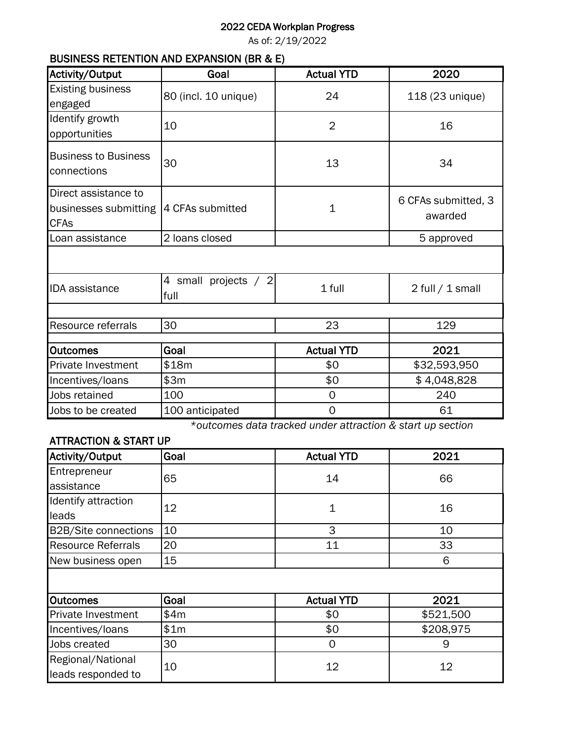### 2022 CEDA Workplan Progress

As of: 2/19/2022

### BUSINESS RETENTION AND EXPANSION (BR & E)

| Activity/Output                                              | Goal                         | <b>Actual YTD</b> | 2020                           |
|--------------------------------------------------------------|------------------------------|-------------------|--------------------------------|
| <b>Existing business</b><br>engaged                          | 80 (incl. 10 unique)         | 24                | 118 (23 unique)                |
| Identify growth<br>opportunities                             | 10                           | $\overline{2}$    | 16                             |
| <b>Business to Business</b><br>connections                   | 30                           | 13                | 34                             |
| Direct assistance to<br>businesses submitting<br><b>CFAs</b> | 4 CFAs submitted             | $\mathbf{1}$      | 6 CFAs submitted, 3<br>awarded |
| Loan assistance                                              | 2 loans closed               |                   | 5 approved                     |
|                                                              |                              |                   |                                |
| <b>IDA</b> assistance                                        | 4 small projects / 2<br>full | 1 full            | $2$ full $/ 1$ small           |
|                                                              |                              |                   |                                |
| Resource referrals                                           | 30                           | 23                | 129                            |
| <b>Outcomes</b>                                              | Goal                         | <b>Actual YTD</b> | 2021                           |
| Private Investment                                           | \$18m                        | \$0               | \$32,593,950                   |
| Incentives/loans                                             | \$3m                         | \$0               | \$4,048,828                    |
| Jobs retained                                                | 100                          | $\Omega$          | 240                            |
| Jobs to be created                                           | 100 anticipated              | $\mathbf 0$       | 61                             |

*\*outcomes data tracked under attraction & start up section*

### ATTRACTION & START UP

| Activity/Output             | Goal | <b>Actual YTD</b> | 2021      |  |  |
|-----------------------------|------|-------------------|-----------|--|--|
| Entrepreneur                | 65   | 14                | 66        |  |  |
| assistance                  |      |                   |           |  |  |
| Identify attraction         | 12   | 1                 | 16        |  |  |
| leads                       |      |                   |           |  |  |
| <b>B2B/Site connections</b> | 10   | 3                 | 10        |  |  |
| <b>Resource Referrals</b>   | 20   | 11                | 33        |  |  |
| New business open           | 15   |                   | 6         |  |  |
|                             |      |                   |           |  |  |
| <b>Outcomes</b>             | Goal | <b>Actual YTD</b> | 2021      |  |  |
| <b>Private Investment</b>   | \$4m | \$0               | \$521,500 |  |  |
| Incentives/loans            | \$1m | \$0               | \$208,975 |  |  |
| Jobs created                | 30   | $\mathbf 0$       | 9         |  |  |
| Regional/National           | 10   | 12                | 12        |  |  |
| leads responded to          |      |                   |           |  |  |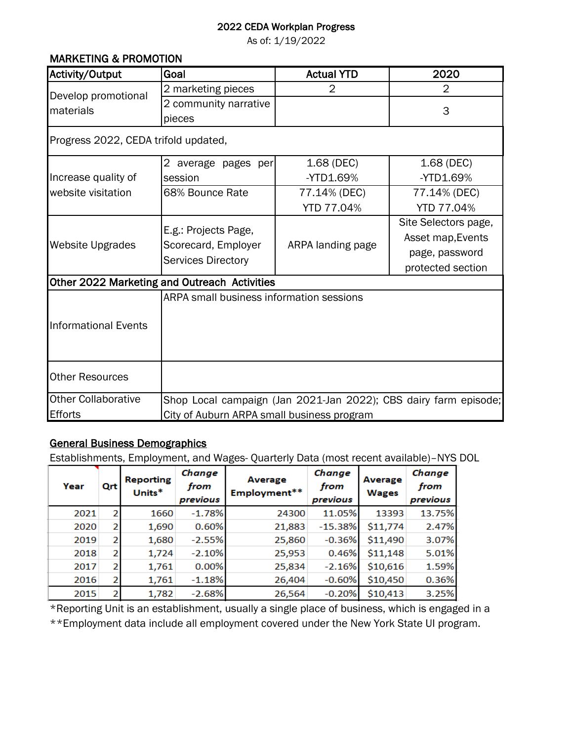### 2022 CEDA Workplan Progress

As of: 1/19/2022

### MARKETING & PROMOTION

| Activity/Output                      | Goal                                                                     | <b>Actual YTD</b> | 2020                                                                             |  |  |
|--------------------------------------|--------------------------------------------------------------------------|-------------------|----------------------------------------------------------------------------------|--|--|
| Develop promotional                  | 2 marketing pieces                                                       | 2                 | 2                                                                                |  |  |
| materials                            | 2 community narrative                                                    |                   | 3                                                                                |  |  |
|                                      | pieces                                                                   |                   |                                                                                  |  |  |
| Progress 2022, CEDA trifold updated, |                                                                          |                   |                                                                                  |  |  |
|                                      | 2 average pages per                                                      | 1.68 (DEC)        | 1.68 (DEC)                                                                       |  |  |
| Increase quality of                  | session                                                                  | $-YTD1.69%$       | -YTD1.69%                                                                        |  |  |
| website visitation                   | 68% Bounce Rate                                                          | 77.14% (DEC)      | 77.14% (DEC)<br><b>YTD 77.04%</b>                                                |  |  |
|                                      |                                                                          | YTD 77.04%        |                                                                                  |  |  |
| <b>Website Upgrades</b>              | E.g.: Projects Page,<br>Scorecard, Employer<br><b>Services Directory</b> | ARPA landing page | Site Selectors page,<br>Asset map, Events<br>page, password<br>protected section |  |  |
|                                      | Other 2022 Marketing and Outreach Activities                             |                   |                                                                                  |  |  |
| <b>Informational Events</b>          | ARPA small business information sessions                                 |                   |                                                                                  |  |  |
| <b>Other Resources</b>               |                                                                          |                   |                                                                                  |  |  |
| <b>Other Collaborative</b>           |                                                                          |                   | Shop Local campaign (Jan 2021-Jan 2022); CBS dairy farm episode;                 |  |  |
| <b>Efforts</b>                       | City of Auburn ARPA small business program                               |                   |                                                                                  |  |  |

### General Business Demographics

Establishments, Employment, and Wages- Quarterly Data (most recent available)–NYS DOL

| Year | Qrt            | <b>Reporting</b><br>Units* | Change<br>from<br>previous | Average<br>Employment** | Change<br>from<br>previous | Average<br><b>Wages</b> | Change<br>from<br>previous |
|------|----------------|----------------------------|----------------------------|-------------------------|----------------------------|-------------------------|----------------------------|
| 2021 | 2              | 1660                       | $-1.78%$                   | 24300                   | 11.05%                     | 13393                   | 13.75%                     |
| 2020 | 2              | 1,690                      | 0.60%                      | 21,883                  | $-15.38%$                  | \$11,774                | 2.47%                      |
| 2019 | 2              | 1,680                      | $-2.55%$                   | 25,860                  | $-0.36%$                   | \$11,490                | 3.07%                      |
| 2018 | 2              | 1,724                      | $-2.10%$                   | 25,953                  | 0.46%                      | \$11,148                | 5.01%                      |
| 2017 | 2              | 1,761                      | 0.00%                      | 25,834                  | $-2.16%$                   | \$10,616                | 1.59%                      |
| 2016 | 2              | 1,761                      | $-1.18%$                   | 26,404                  | $-0.60%$                   | \$10,450                | 0.36%                      |
| 2015 | $\overline{2}$ | 1,782                      | $-2.68%$                   | 26,564                  | $-0.20%$                   | \$10,413                | 3.25%                      |

\*\*Employment data include all employment covered under the New York State UI program. \*Reporting Unit is an establishment, usually a single place of business, which is engaged in a